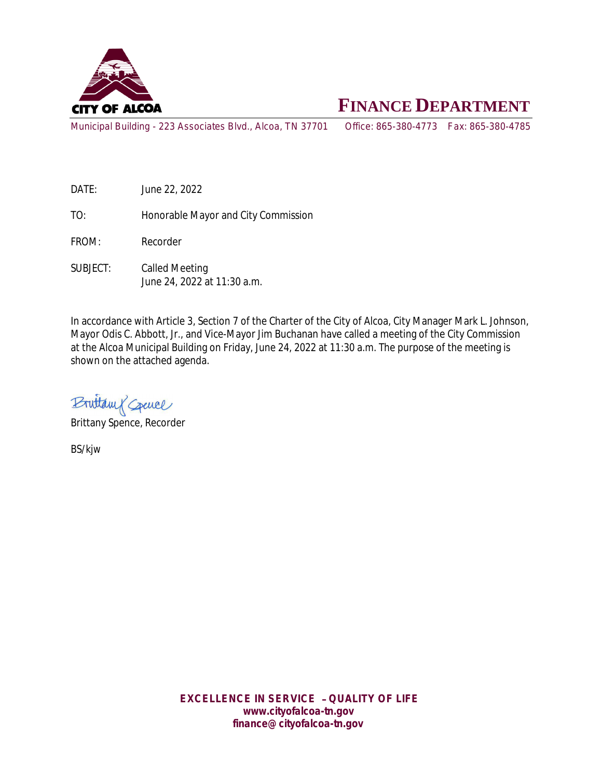

# **FINANCE DEPARTMENT**

Municipal Building - 223 Associates Blvd., Alcoa, TN 37701 Office: 865-380-4773 Fax: 865-380-4785

DATE: June 22, 2022

TO: Honorable Mayor and City Commission

FROM: Recorder

SUBJECT: Called Meeting June 24, 2022 at 11:30 a.m.

In accordance with Article 3, Section 7 of the Charter of the City of Alcoa, City Manager Mark L. Johnson, Mayor Odis C. Abbott, Jr., and Vice-Mayor Jim Buchanan have called a meeting of the City Commission at the Alcoa Municipal Building on Friday, June 24, 2022 at 11:30 a.m. The purpose of the meeting is shown on the attached agenda.

Bruttam & Creuce

Brittany Spence, Recorder

BS/kjw

*EXCELLENCE IN SERVICE* – *QUALITY OF LIFE* **www.cityofalcoa-tn.gov finance@cityofalcoa-tn.gov**